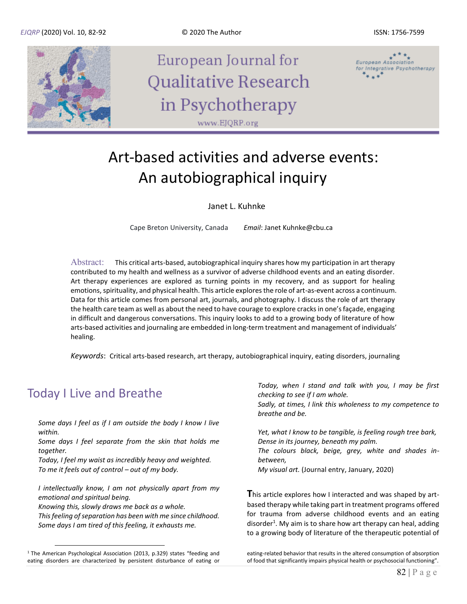

# Art-based activities and adverse events: An autobiographical inquiry

#### Janet L. Kuhnke

Cape Breton University, Canada *Email*: Janet Kuhnke@cbu.ca

Abstract: This critical arts-based, autobiographical inquiry shares how my participation in art therapy contributed to my health and wellness as a survivor of adverse childhood events and an eating disorder. Art therapy experiences are explored as turning points in my recovery, and as support for healing emotions, spirituality, and physical health. This article explores the role of art-as-event across a continuum. Data for this article comes from personal art, journals, and photography. I discuss the role of art therapy the health care team as well as about the need to have courage to explore cracks in one's façade, engaging in difficult and dangerous conversations. This inquiry looks to add to a growing body of literature of how arts-based activities and journaling are embedded in long-term treatment and management of individuals' healing.

*Keywords*: Critical arts-based research, art therapy, autobiographical inquiry, eating disorders, journaling

### Today I Live and Breathe

*Some days I feel as if I am outside the body I know I live within.* 

*Some days I feel separate from the skin that holds me together.* 

*Today, I feel my waist as incredibly heavy and weighted. To me it feels out of control – out of my body.* 

*I intellectually know, I am not physically apart from my emotional and spiritual being.*

*Knowing this, slowly draws me back as a whole.* 

*This feeling of separation has been with me since childhood. Some days I am tired of this feeling, it exhausts me.* 

*Today, when I stand and talk with you, I may be first checking to see if I am whole. Sadly, at times, I link this wholeness to my competence to breathe and be.* 

*Yet, what I know to be tangible, is feeling rough tree bark, Dense in its journey, beneath my palm.* 

*The colours black, beige, grey, white and shades inbetween,*

*My visual art.* (Journal entry, January, 2020)

**T**his article explores how I interacted and was shaped by artbased therapy while taking part in treatment programs offered for trauma from adverse childhood events and an eating disorder<sup>1</sup>. My aim is to share how art therapy can heal, adding to a growing body of literature of the therapeutic potential of

eating-related behavior that results in the altered consumption of absorption of food that significantly impairs physical health or psychosocial functioning".

<sup>&</sup>lt;sup>1</sup> The American Psychological Association (2013, p.329) states "feeding and eating disorders are characterized by persistent disturbance of eating or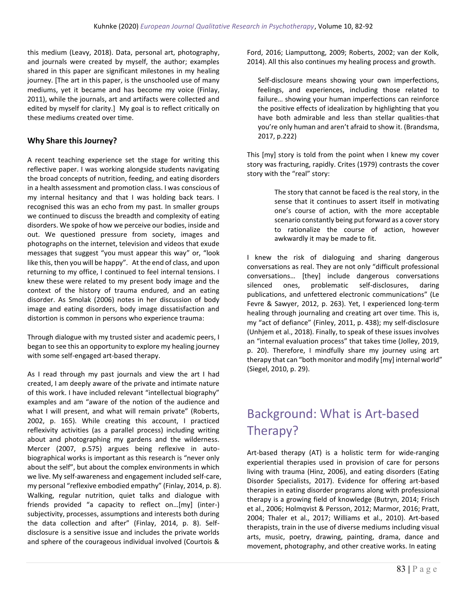this medium (Leavy, 2018). Data, personal art, photography, and journals were created by myself, the author; examples shared in this paper are significant milestones in my healing journey. [The art in this paper, is the unschooled use of many mediums, yet it became and has become my voice (Finlay, 2011), while the journals, art and artifacts were collected and edited by myself for clarity.] My goal is to reflect critically on these mediums created over time.

#### **Why Share this Journey?**

A recent teaching experience set the stage for writing this reflective paper. I was working alongside students navigating the broad concepts of nutrition, feeding, and eating disorders in a health assessment and promotion class. I was conscious of my internal hesitancy and that I was holding back tears. I recognised this was an echo from my past. In smaller groups we continued to discuss the breadth and complexity of eating disorders. We spoke of how we perceive our bodies, inside and out. We questioned pressure from society, images and photographs on the internet, television and videos that exude messages that suggest "you must appear this way" or, "look like this, then you will be happy". At the end of class, and upon returning to my office, I continued to feel internal tensions. I knew these were related to my present body image and the context of the history of trauma endured, and an eating disorder. As Smolak (2006) notes in her discussion of body image and eating disorders, body image dissatisfaction and distortion is common in persons who experience trauma:

Through dialogue with my trusted sister and academic peers, I began to see this an opportunity to explore my healing journey with some self-engaged art-based therapy.

As I read through my past journals and view the art I had created, I am deeply aware of the private and intimate nature of this work. I have included relevant "intellectual biography" examples and am "aware of the notion of the audience and what I will present, and what will remain private" (Roberts, 2002, p. 165). While creating this account, I practiced reflexivity activities (as a parallel process) including writing about and photographing my gardens and the wilderness. Mercer (2007, p.575) argues being reflexive in autobiographical works is important as this research is "never only about the self", but about the complex environments in which we live. My self-awareness and engagement included self-care, my personal "reflexive embodied empathy" (Finlay, 2014, p. 8). Walking, regular nutrition, quiet talks and dialogue with friends provided "a capacity to reflect on…[my] (inter-) subjectivity, processes, assumptions and interests both during the data collection and after" (Finlay, 2014, p. 8). Selfdisclosure is a sensitive issue and includes the private worlds and sphere of the courageous individual involved (Courtois &

Ford, 2016; Liamputtong, 2009; Roberts, 2002; van der Kolk, 2014). All this also continues my healing process and growth.

Self-disclosure means showing your own imperfections, feelings, and experiences, including those related to failure… showing your human imperfections can reinforce the positive effects of idealization by highlighting that you have both admirable and less than stellar qualities-that you're only human and aren't afraid to show it. (Brandsma, 2017, p.222)

This [my] story is told from the point when I knew my cover story was fracturing, rapidly. Crites (1979) contrasts the cover story with the "real" story:

> The story that cannot be faced is the real story, in the sense that it continues to assert itself in motivating one's course of action, with the more acceptable scenario constantly being put forward as a cover story to rationalize the course of action, however awkwardly it may be made to fit.

I knew the risk of dialoguing and sharing dangerous conversations as real. They are not only "difficult professional conversations… [they] include dangerous conversations silenced ones, problematic self-disclosures, daring publications, and unfettered electronic communications" (Le Fevre & Sawyer, 2012, p. 263). Yet, I experienced long-term healing through journaling and creating art over time. This is, my "act of defiance" (Finley, 2011, p. 438); my self-disclosure (Unhjem et al., 2018). Finally, to speak of these issues involves an "internal evaluation process" that takes time (Jolley, 2019, p. 20). Therefore, I mindfully share my journey using art therapy that can "both monitor and modify [my] internal world" (Siegel, 2010, p. 29).

## Background: What is Art-based Therapy?

Art-based therapy (AT) is a holistic term for wide-ranging experiential therapies used in provision of care for persons living with trauma (Hinz, 2006), and eating disorders (Eating Disorder Specialists, 2017). Evidence for offering art-based therapies in eating disorder programs along with professional therapy is a growing field of knowledge (Butryn, 2014; Frisch et al., 2006; Holmqvist & Persson, 2012; Marmor, 2016; Pratt, 2004; Thaler et al., 2017; Williams et al., 2010). Art-based therapists, train in the use of diverse mediums including visual arts, music, poetry, drawing, painting, drama, dance and movement, photography, and other creative works. In eating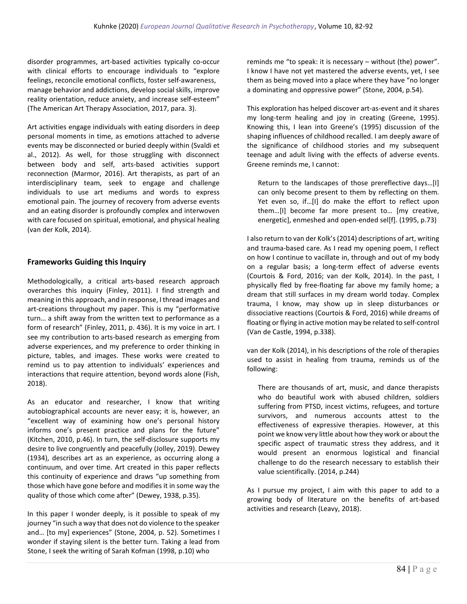disorder programmes, art-based activities typically co-occur with clinical efforts to encourage individuals to "explore feelings, reconcile emotional conflicts, foster self-awareness, manage behavior and addictions, develop social skills, improve reality orientation, reduce anxiety, and increase self-esteem" (The American Art Therapy Association, 2017, para. 3).

Art activities engage individuals with eating disorders in deep personal moments in time, as emotions attached to adverse events may be disconnected or buried deeply within (Svaldi et al., 2012). As well, for those struggling with disconnect between body and self, arts-based activities support reconnection (Marmor, 2016). Art therapists, as part of an interdisciplinary team, seek to engage and challenge individuals to use art mediums and words to express emotional pain. The journey of recovery from adverse events and an eating disorder is profoundly complex and interwoven with care focused on spiritual, emotional, and physical healing (van der Kolk, 2014).

### **Frameworks Guiding this Inquiry**

Methodologically, a critical arts-based research approach overarches this inquiry (Finley, 2011). I find strength and meaning in this approach, and in response, I thread images and art-creations throughout my paper. This is my "performative turn… a shift away from the written text to performance as a form of research" (Finley, 2011, p. 436). It is my voice in art. I see my contribution to arts-based research as emerging from adverse experiences, and my preference to order thinking in picture, tables, and images. These works were created to remind us to pay attention to individuals' experiences and interactions that require attention, beyond words alone (Fish, 2018).

As an educator and researcher, I know that writing autobiographical accounts are never easy; it is, however, an "excellent way of examining how one's personal history informs one's present practice and plans for the future" (Kitchen, 2010, p.46). In turn, the self-disclosure supports my desire to live congruently and peacefully (Jolley, 2019). Dewey (1934), describes art as an experience, as occurring along a continuum, and over time. Art created in this paper reflects this continuity of experience and draws "up something from those which have gone before and modifies it in some way the quality of those which come after" (Dewey, 1938, p.35).

In this paper I wonder deeply, is it possible to speak of my journey "in such a way that does not do violence to the speaker and… [to my] experiences" (Stone, 2004, p. 52). Sometimes I wonder if staying silent is the better turn. Taking a lead from Stone, I seek the writing of Sarah Kofman (1998, p.10) who

reminds me "to speak: it is necessary – without (the) power". I know I have not yet mastered the adverse events, yet, I see them as being moved into a place where they have "no longer a dominating and oppressive power" (Stone, 2004, p.54).

This exploration has helped discover art-as-event and it shares my long-term healing and joy in creating (Greene, 1995). Knowing this, I lean into Greene's (1995) discussion of the shaping influences of childhood recalled. I am deeply aware of the significance of childhood stories and my subsequent teenage and adult living with the effects of adverse events. Greene reminds me, I cannot:

Return to the landscapes of those prereflective days…[I] can only become present to them by reflecting on them. Yet even so, if…[I] do make the effort to reflect upon them…[I] become far more present to… [my creative, energetic], enmeshed and open-ended sel[f]. (1995, p.73)

I also return to van der Kolk's(2014) descriptions of art, writing and trauma-based care. As I read my opening poem, I reflect on how I continue to vacillate in, through and out of my body on a regular basis; a long-term effect of adverse events (Courtois & Ford, 2016; van der Kolk, 2014). In the past, I physically fled by free-floating far above my family home; a dream that still surfaces in my dream world today. Complex trauma, I know, may show up in sleep disturbances or dissociative reactions (Courtois & Ford, 2016) while dreams of floating or flying in active motion may be related to self-control (Van de Castle, 1994, p.338).

van der Kolk (2014), in his descriptions of the role of therapies used to assist in healing from trauma, reminds us of the following:

There are thousands of art, music, and dance therapists who do beautiful work with abused children, soldiers suffering from PTSD, incest victims, refugees, and torture survivors, and numerous accounts attest to the effectiveness of expressive therapies. However, at this point we know very little about how they work or about the specific aspect of traumatic stress they address, and it would present an enormous logistical and financial challenge to do the research necessary to establish their value scientifically. (2014, p.244)

As I pursue my project, I aim with this paper to add to a growing body of literature on the benefits of art-based activities and research (Leavy, 2018).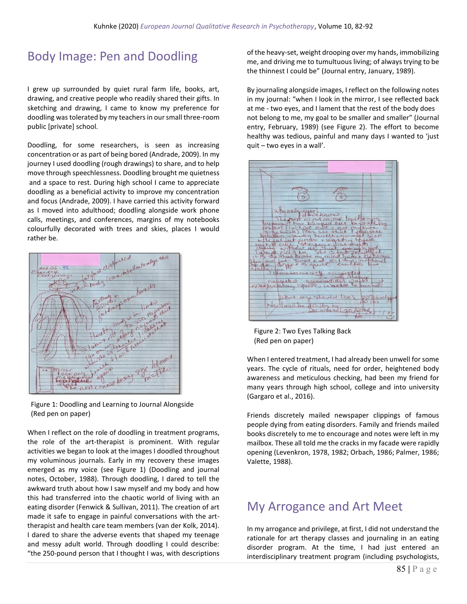### Body Image: Pen and Doodling

I grew up surrounded by quiet rural farm life, books, art, drawing, and creative people who readily shared their gifts. In sketching and drawing, I came to know my preference for doodling was tolerated by my teachers in our small three-room public [private] school.

Doodling, for some researchers, is seen as increasing concentration or as part of being bored (Andrade, 2009). In my journey I used doodling (rough drawings) to share, and to help move through speechlessness. Doodling brought me quietness and a space to rest. During high school I came to appreciate doodling as a beneficial activity to improve my concentration and focus (Andrade, 2009). I have carried this activity forward as I moved into adulthood; doodling alongside work phone calls, meetings, and conferences, margins of my notebooks colourfully decorated with trees and skies, places I would rather be.



 Figure 1: Doodling and Learning to Journal Alongside (Red pen on paper)

When I reflect on the role of doodling in treatment programs, the role of the art-therapist is prominent. With regular activities we began to look at the images I doodled throughout my voluminous journals. Early in my recovery these images emerged as my voice (see Figure 1) (Doodling and journal notes, October, 1988). Through doodling, I dared to tell the awkward truth about how I saw myself and my body and how this had transferred into the chaotic world of living with an eating disorder (Fenwick & Sullivan, 2011). The creation of art made it safe to engage in painful conversations with the arttherapist and health care team members (van der Kolk, 2014). I dared to share the adverse events that shaped my teenage and messy adult world. Through doodling I could describe: "the 250-pound person that I thought I was, with descriptions of the heavy-set, weight drooping over my hands, immobilizing me, and driving me to tumultuous living; of always trying to be the thinnest I could be" (Journal entry, January, 1989).

By journaling alongside images, I reflect on the following notes in my journal: "when I look in the mirror, I see reflected back at me - two eyes, and I lament that the rest of the body does not belong to me, my goal to be smaller and smaller" (Journal entry, February, 1989) (see Figure 2). The effort to become healthy was tedious, painful and many days I wanted to 'just quit – two eyes in a wall'.



 Figure 2: Two Eyes Talking Back (Red pen on paper)

When I entered treatment, I had already been unwell for some years. The cycle of rituals, need for order, heightened body awareness and meticulous checking, had been my friend for many years through high school, college and into university (Gargaro et al., 2016).

Friends discretely mailed newspaper clippings of famous people dying from eating disorders. Family and friends mailed books discretely to me to encourage and notes were left in my mailbox. These all told me the cracks in my facade were rapidly opening (Levenkron, 1978, 1982; Orbach, 1986; Palmer, 1986; Valette, 1988).

### My Arrogance and Art Meet

In my arrogance and privilege, at first, I did not understand the rationale for art therapy classes and journaling in an eating disorder program. At the time, I had just entered an interdisciplinary treatment program (including psychologists,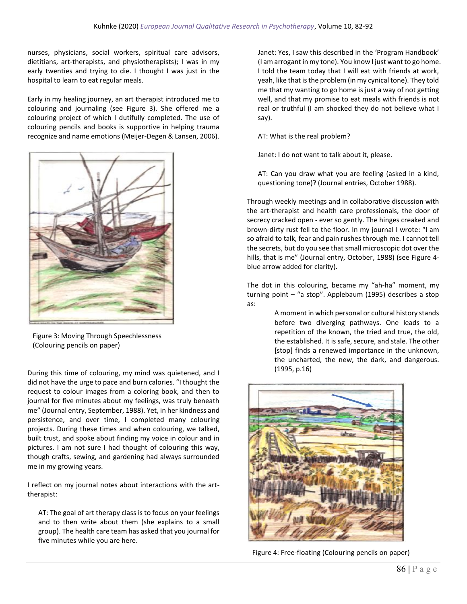nurses, physicians, social workers, spiritual care advisors, dietitians, art-therapists, and physiotherapists); I was in my early twenties and trying to die. I thought I was just in the hospital to learn to eat regular meals.

Early in my healing journey, an art therapist introduced me to colouring and journaling (see Figure 3). She offered me a colouring project of which I dutifully completed. The use of colouring pencils and books is supportive in helping trauma recognize and name emotions (Meijer-Degen & Lansen, 2006).



 Figure 3: Moving Through Speechlessness (Colouring pencils on paper)

During this time of colouring, my mind was quietened, and I did not have the urge to pace and burn calories. "I thought the request to colour images from a coloring book, and then to journal for five minutes about my feelings, was truly beneath me" (Journal entry, September, 1988). Yet, in her kindness and persistence, and over time, I completed many colouring projects. During these times and when colouring, we talked, built trust, and spoke about finding my voice in colour and in pictures. I am not sure I had thought of colouring this way, though crafts, sewing, and gardening had always surrounded me in my growing years.

I reflect on my journal notes about interactions with the arttherapist:

AT: The goal of art therapy class is to focus on your feelings and to then write about them (she explains to a small group). The health care team has asked that you journal for five minutes while you are here.

Janet: Yes, I saw this described in the 'Program Handbook' (I am arrogant in my tone). You know I just want to go home. I told the team today that I will eat with friends at work, yeah, like that is the problem (in my cynical tone). They told me that my wanting to go home is just a way of not getting well, and that my promise to eat meals with friends is not real or truthful (I am shocked they do not believe what I say).

AT: What is the real problem?

Janet: I do not want to talk about it, please.

AT: Can you draw what you are feeling (asked in a kind, questioning tone)? (Journal entries, October 1988).

Through weekly meetings and in collaborative discussion with the art-therapist and health care professionals, the door of secrecy cracked open - ever so gently. The hinges creaked and brown-dirty rust fell to the floor. In my journal I wrote: "I am so afraid to talk, fear and pain rushes through me. I cannot tell the secrets, but do you see that small microscopic dot over the hills, that is me" (Journal entry, October, 1988) (see Figure 4 blue arrow added for clarity).

The dot in this colouring, became my "ah-ha" moment, my turning point – "a stop". Applebaum (1995) describes a stop as:

> A moment in which personal or cultural history stands before two diverging pathways. One leads to a repetition of the known, the tried and true, the old, the established. It is safe, secure, and stale. The other [stop] finds a renewed importance in the unknown, the uncharted, the new, the dark, and dangerous. (1995, p.16)



Figure 4: Free-floating (Colouring pencils on paper)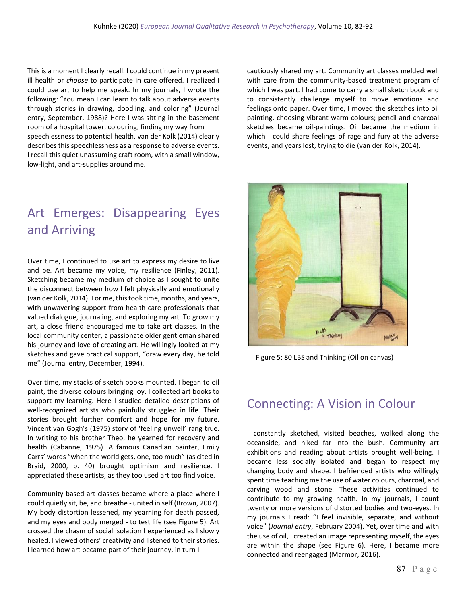This is a moment I clearly recall. I could continue in my present ill health or *choose* to participate in care offered. I realized I could use art to help me speak. In my journals, I wrote the following: "You mean I can learn to talk about adverse events through stories in drawing, doodling, and coloring" (Journal entry, September, 1988)? Here I was sitting in the basement room of a hospital tower, colouring, finding my way from speechlessness to potential health. van der Kolk (2014) clearly describes this speechlessness as a response to adverse events. I recall this quiet unassuming craft room, with a small window, low-light, and art-supplies around me.

## Art Emerges: Disappearing Eyes and Arriving

Over time, I continued to use art to express my desire to live and be. Art became my voice, my resilience (Finley, 2011). Sketching became my medium of choice as I sought to unite the disconnect between how I felt physically and emotionally (van der Kolk, 2014). For me, this took time, months, and years, with unwavering support from health care professionals that valued dialogue, journaling, and exploring my art. To grow my art, a close friend encouraged me to take art classes. In the local community center, a passionate older gentleman shared his journey and love of creating art. He willingly looked at my sketches and gave practical support, "draw every day, he told me" (Journal entry, December, 1994).

Over time, my stacks of sketch books mounted. I began to oil paint, the diverse colours bringing joy. I collected art books to support my learning. Here I studied detailed descriptions of well-recognized artists who painfully struggled in life. Their stories brought further comfort and hope for my future. Vincent van Gogh's (1975) story of 'feeling unwell' rang true. In writing to his brother Theo, he yearned for recovery and health (Cabanne, 1975). A famous Canadian painter, Emily Carrs' words "when the world gets, one, too much" (as cited in Braid, 2000, p. 40) brought optimism and resilience. I appreciated these artists, as they too used art too find voice.

Community-based art classes became where a place where I could quietly sit, be, and breathe - united in self (Brown, 2007). My body distortion lessened, my yearning for death passed, and my eyes and body merged - to test life (see Figure 5). Art crossed the chasm of social isolation I experienced as I slowly healed. I viewed others' creativity and listened to their stories. I learned how art became part of their journey, in turn I

cautiously shared my art. Community art classes melded well with care from the community-based treatment program of which I was part. I had come to carry a small sketch book and to consistently challenge myself to move emotions and feelings onto paper. Over time, I moved the sketches into oil painting, choosing vibrant warm colours; pencil and charcoal sketches became oil-paintings. Oil became the medium in which I could share feelings of rage and fury at the adverse events, and years lost, trying to die (van der Kolk, 2014).



Figure 5: 80 LBS and Thinking (Oil on canvas)

### Connecting: A Vision in Colour

I constantly sketched, visited beaches, walked along the oceanside, and hiked far into the bush. Community art exhibitions and reading about artists brought well-being. I became less socially isolated and began to respect my changing body and shape. I befriended artists who willingly spent time teaching me the use of water colours, charcoal, and carving wood and stone. These activities continued to contribute to my growing health. In my journals, I count twenty or more versions of distorted bodies and two-eyes. In my journals I read: "I feel invisible, separate, and without voice" (*Journal entry*, February 2004). Yet, over time and with the use of oil, I created an image representing myself, the eyes are within the shape (see Figure 6). Here, I became more connected and reengaged (Marmor, 2016).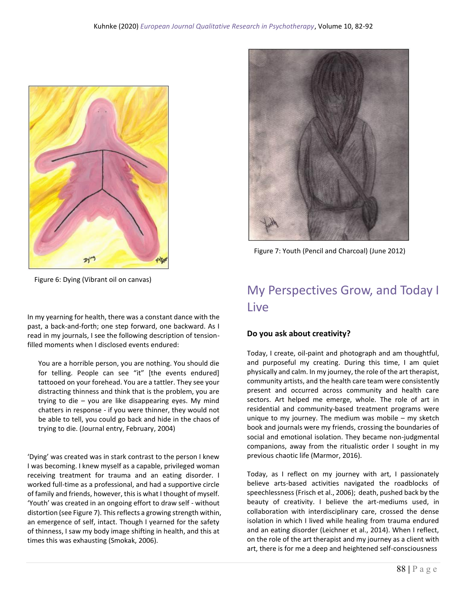



Figure 7: Youth (Pencil and Charcoal) (June 2012)

Figure 6: Dying (Vibrant oil on canvas)

In my yearning for health, there was a constant dance with the past, a back-and-forth; one step forward, one backward. As I read in my journals, I see the following description of tensionfilled moments when I disclosed events endured:

You are a horrible person, you are nothing. You should die for telling. People can see "it" [the events endured] tattooed on your forehead. You are a tattler. They see your distracting thinness and think that is the problem, you are trying to die – you are like disappearing eyes. My mind chatters in response - if you were thinner, they would not be able to tell, you could go back and hide in the chaos of trying to die. (Journal entry, February, 2004)

'Dying' was created was in stark contrast to the person I knew I was becoming. I knew myself as a capable, privileged woman receiving treatment for trauma and an eating disorder. I worked full-time as a professional, and had a supportive circle of family and friends, however, this is what I thought of myself. 'Youth' was created in an ongoing effort to draw self - without distortion (see Figure 7). This reflects a growing strength within, an emergence of self, intact. Though I yearned for the safety of thinness, I saw my body image shifting in health, and this at times this was exhausting (Smokak, 2006).

## My Perspectives Grow, and Today I Live

### **Do you ask about creativity?**

Today, I create, oil-paint and photograph and am thoughtful, and purposeful my creating. During this time, I am quiet physically and calm. In my journey, the role of the art therapist, community artists, and the health care team were consistently present and occurred across community and health care sectors. Art helped me emerge, whole. The role of art in residential and community-based treatment programs were unique to my journey. The medium was mobile – my sketch book and journals were my friends, crossing the boundaries of social and emotional isolation. They became non-judgmental companions, away from the ritualistic order I sought in my previous chaotic life (Marmor, 2016).

Today, as I reflect on my journey with art, I passionately believe arts-based activities navigated the roadblocks of speechlessness (Frisch et al., 2006); death, pushed back by the beauty of creativity. I believe the art-mediums used, in collaboration with interdisciplinary care, crossed the dense isolation in which I lived while healing from trauma endured and an eating disorder (Leichner et al., 2014). When I reflect, on the role of the art therapist and my journey as a client with art, there is for me a deep and heightened self-consciousness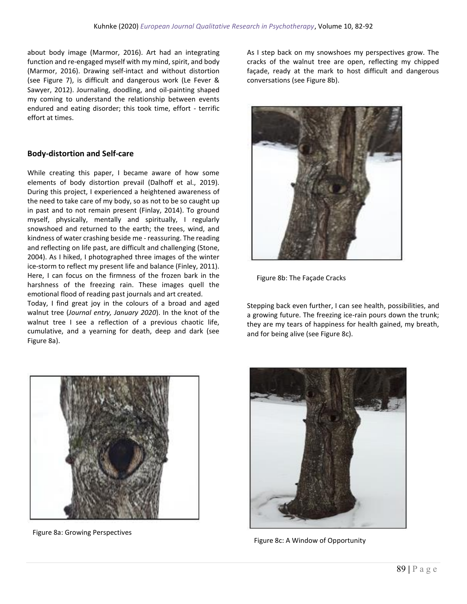about body image (Marmor, 2016). Art had an integrating function and re-engaged myself with my mind, spirit, and body (Marmor, 2016). Drawing self-intact and without distortion (see Figure 7), is difficult and dangerous work (Le Fever & Sawyer, 2012). Journaling, doodling, and oil-painting shaped my coming to understand the relationship between events endured and eating disorder; this took time, effort - terrific effort at times.

#### **Body-distortion and Self-care**

While creating this paper, I became aware of how some elements of body distortion prevail (Dalhoff et al., 2019). During this project, I experienced a heightened awareness of the need to take care of my body, so as not to be so caught up in past and to not remain present (Finlay, 2014). To ground myself, physically, mentally and spiritually, I regularly snowshoed and returned to the earth; the trees, wind, and kindness of water crashing beside me - reassuring. The reading and reflecting on life past, are difficult and challenging (Stone, 2004). As I hiked, I photographed three images of the winter ice-storm to reflect my present life and balance (Finley, 2011). Here, I can focus on the firmness of the frozen bark in the harshness of the freezing rain. These images quell the emotional flood of reading past journals and art created.

Today, I find great joy in the colours of a broad and aged walnut tree (*Journal entry, January 2020*). In the knot of the walnut tree I see a reflection of a previous chaotic life, cumulative, and a yearning for death, deep and dark (see Figure 8a).

As I step back on my snowshoes my perspectives grow. The cracks of the walnut tree are open, reflecting my chipped façade, ready at the mark to host difficult and dangerous conversations (see Figure 8b).



Figure 8b: The Façade Cracks

Stepping back even further, I can see health, possibilities, and a growing future. The freezing ice-rain pours down the trunk; they are my tears of happiness for health gained, my breath, and for being alive (see Figure 8c).



Figure 8a: Growing Perspectives



Figure 8c: A Window of Opportunity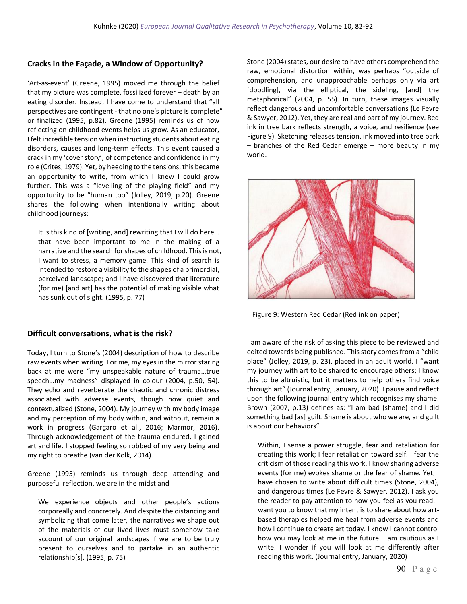### **Cracks in the Façade, a Window of Opportunity?**

'Art-as-event' (Greene, 1995) moved me through the belief that my picture was complete, fossilized forever – death by an eating disorder. Instead, I have come to understand that "all perspectives are contingent - that no one's picture is complete" or finalized (1995, p.82). Greene (1995) reminds us of how reflecting on childhood events helps us grow. As an educator, I felt incredible tension when instructing students about eating disorders, causes and long-term effects. This event caused a crack in my 'cover story', of competence and confidence in my role (Crites, 1979). Yet, by heeding to the tensions, this became an opportunity to write, from which I knew I could grow further. This was a "levelling of the playing field" and my opportunity to be "human too" (Jolley, 2019, p.20). Greene shares the following when intentionally writing about childhood journeys:

It is this kind of [writing, and] rewriting that I will do here… that have been important to me in the making of a narrative and the search for shapes of childhood. This is not, I want to stress, a memory game. This kind of search is intended to restore a visibility to the shapes of a primordial, perceived landscape; and I have discovered that literature (for me) [and art] has the potential of making visible what has sunk out of sight. (1995, p. 77)

#### **Difficult conversations, what is the risk?**

Today, I turn to Stone's (2004) description of how to describe raw events when writing. For me, my eyes in the mirror staring back at me were "my unspeakable nature of trauma…true speech…my madness" displayed in colour (2004, p.50, 54). They echo and reverberate the chaotic and chronic distress associated with adverse events, though now quiet and contextualized (Stone, 2004). My journey with my body image and my perception of my body within, and without, remain a work in progress (Gargaro et al., 2016; Marmor, 2016). Through acknowledgement of the trauma endured, I gained art and life. I stopped feeling so robbed of my very being and my right to breathe (van der Kolk, 2014).

Greene (1995) reminds us through deep attending and purposeful reflection, we are in the midst and

We experience objects and other people's actions corporeally and concretely. And despite the distancing and symbolizing that come later, the narratives we shape out of the materials of our lived lives must somehow take account of our original landscapes if we are to be truly present to ourselves and to partake in an authentic relationship[s]. (1995, p. 75)

Stone (2004) states, our desire to have others comprehend the raw, emotional distortion within, was perhaps "outside of comprehension, and unapproachable perhaps only via art [doodling], via the elliptical, the sideling, [and] the metaphorical" (2004, p. 55). In turn, these images visually reflect dangerous and uncomfortable conversations (Le Fevre & Sawyer, 2012). Yet, they are real and part of my journey. Red ink in tree bark reflects strength, a voice, and resilience (see Figure 9). Sketching releases tension, ink moved into tree bark – branches of the Red Cedar emerge – more beauty in my world.



Figure 9: Western Red Cedar (Red ink on paper)

I am aware of the risk of asking this piece to be reviewed and edited towards being published. This story comes from a "child place" (Jolley, 2019, p. 23), placed in an adult world. I "want my journey with art to be shared to encourage others; I know this to be altruistic, but it matters to help others find voice through art" (Journal entry, January, 2020). I pause and reflect upon the following journal entry which recognises my shame. Brown (2007, p.13) defines as: "I am bad (shame) and I did something bad [as] guilt. Shame is about who we are, and guilt is about our behaviors".

Within, I sense a power struggle, fear and retaliation for creating this work; I fear retaliation toward self. I fear the criticism of those reading this work. I know sharing adverse events (for me) evokes shame or the fear of shame. Yet, I have chosen to write about difficult times (Stone, 2004), and dangerous times (Le Fevre & Sawyer, 2012). I ask you the reader to pay attention to how you feel as you read. I want you to know that my intent is to share about how artbased therapies helped me heal from adverse events and how I continue to create art today. I know I cannot control how you may look at me in the future. I am cautious as I write. I wonder if you will look at me differently after reading this work. (Journal entry, January, 2020)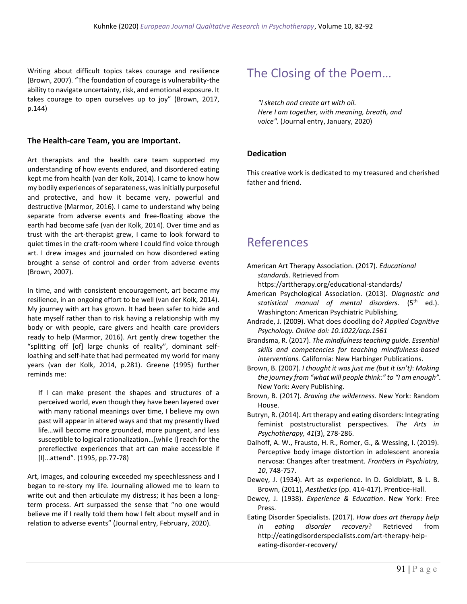Writing about difficult topics takes courage and resilience (Brown, 2007). "The foundation of courage is vulnerability-the ability to navigate uncertainty, risk, and emotional exposure. It takes courage to open ourselves up to joy" (Brown, 2017, p.144)

### **The Health-care Team, you are Important.**

Art therapists and the health care team supported my understanding of how events endured, and disordered eating kept me from health (van der Kolk, 2014). I came to know how my bodily experiences of separateness, was initially purposeful and protective, and how it became very, powerful and destructive (Marmor, 2016). I came to understand why being separate from adverse events and free-floating above the earth had become safe (van der Kolk, 2014). Over time and as trust with the art-therapist grew, I came to look forward to quiet times in the craft-room where I could find voice through art. I drew images and journaled on how disordered eating brought a sense of control and order from adverse events (Brown, 2007).

In time, and with consistent encouragement, art became my resilience, in an ongoing effort to be well (van der Kolk, 2014). My journey with art has grown. It had been safer to hide and hate myself rather than to risk having a relationship with my body or with people, care givers and health care providers ready to help (Marmor, 2016). Art gently drew together the "splitting off [of] large chunks of reality", dominant selfloathing and self-hate that had permeated my world for many years (van der Kolk, 2014, p.281). Greene (1995) further reminds me:

If I can make present the shapes and structures of a perceived world, even though they have been layered over with many rational meanings over time, I believe my own past will appear in altered ways and that my presently lived life…will become more grounded, more pungent, and less susceptible to logical rationalization…[while I] reach for the prereflective experiences that art can make accessible if [I]…attend". (1995, pp.77-78)

Art, images, and colouring exceeded my speechlessness and I began to re-story my life. Journaling allowed me to learn to write out and then articulate my distress; it has been a longterm process. Art surpassed the sense that "no one would believe me if I really told them how I felt about myself and in relation to adverse events" (Journal entry, February, 2020).

## The Closing of the Poem…

*"I sketch and create art with oil. Here I am together, with meaning, breath, and voice".* (Journal entry, January, 2020)

### **Dedication**

This creative work is dedicated to my treasured and cherished father and friend.

### References

American Art Therapy Association. (2017). *Educational standards*. Retrieved from

https://arttherapy.org/educational-standards/

- American Psychological Association. (2013). *Diagnostic and statistical manual of mental disorders*. (5th ed.). Washington: American Psychiatric Publishing.
- Andrade, J. (2009). What does doodling do? *Applied Cognitive Psychology. Online doi: 10.1022/acp.1561*
- Brandsma, R. (2017). *The mindfulness teaching guide. Essential skills and competencies for teaching mindfulness-based interventions.* California: New Harbinger Publications.
- Brown, B. (2007). *I thought it was just me (but it isn't)*: *Making the journey from "what will people think:" to "I am enough".* New York: Avery Publishing.
- Brown, B. (2017). *Braving the wilderness.* New York: Random House.
- Butryn, R. (2014). Art therapy and eating disorders: Integrating feminist poststructuralist perspectives. *The Arts in Psychotherapy, 41*(3), 278-286.
- Dalhoff, A. W., Frausto, H. R., Romer, G., & Wessing, I. (2019). Perceptive body image distortion in adolescent anorexia nervosa: Changes after treatment. *Frontiers in Psychiatry, 10*, 748-757.
- Dewey, J. (1934). Art as experience. In D. Goldblatt, & L. B. Brown, (2011), *Aesthetics* (pp. 414-417). Prentice-Hall.
- Dewey, J. (1938). *Experience & Education*. New York: Free Press.
- Eating Disorder Specialists. (2017). *How does art therapy help in eating disorder recovery*? Retrieved from [http://eatingdisorderspecialists.com/art-therapy-help](http://eatingdisorderspecialists.com/art-therapy-help-eating-disorder-recovery/)[eating-disorder-recovery/](http://eatingdisorderspecialists.com/art-therapy-help-eating-disorder-recovery/)